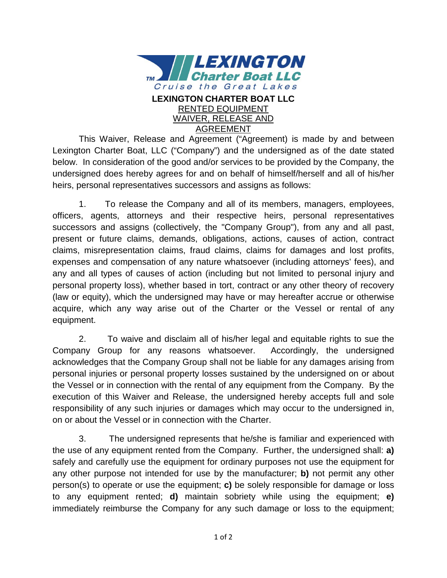

AGREEMENT

This Waiver, Release and Agreement ("Agreement) is made by and between Lexington Charter Boat, LLC ("Company") and the undersigned as of the date stated below. In consideration of the good and/or services to be provided by the Company, the undersigned does hereby agrees for and on behalf of himself/herself and all of his/her heirs, personal representatives successors and assigns as follows:

1. To release the Company and all of its members, managers, employees, officers, agents, attorneys and their respective heirs, personal representatives successors and assigns (collectively, the "Company Group"), from any and all past, present or future claims, demands, obligations, actions, causes of action, contract claims, misrepresentation claims, fraud claims, claims for damages and lost profits, expenses and compensation of any nature whatsoever (including attorneys' fees), and any and all types of causes of action (including but not limited to personal injury and personal property loss), whether based in tort, contract or any other theory of recovery (law or equity), which the undersigned may have or may hereafter accrue or otherwise acquire, which any way arise out of the Charter or the Vessel or rental of any equipment.

2. To waive and disclaim all of his/her legal and equitable rights to sue the Company Group for any reasons whatsoever. Accordingly, the undersigned acknowledges that the Company Group shall not be liable for any damages arising from personal injuries or personal property losses sustained by the undersigned on or about the Vessel or in connection with the rental of any equipment from the Company. By the execution of this Waiver and Release, the undersigned hereby accepts full and sole responsibility of any such injuries or damages which may occur to the undersigned in, on or about the Vessel or in connection with the Charter.

3. The undersigned represents that he/she is familiar and experienced with the use of any equipment rented from the Company. Further, the undersigned shall: **a)** safely and carefully use the equipment for ordinary purposes not use the equipment for any other purpose not intended for use by the manufacturer; **b)** not permit any other person(s) to operate or use the equipment; **c)** be solely responsible for damage or loss to any equipment rented; **d)** maintain sobriety while using the equipment; **e)** immediately reimburse the Company for any such damage or loss to the equipment;